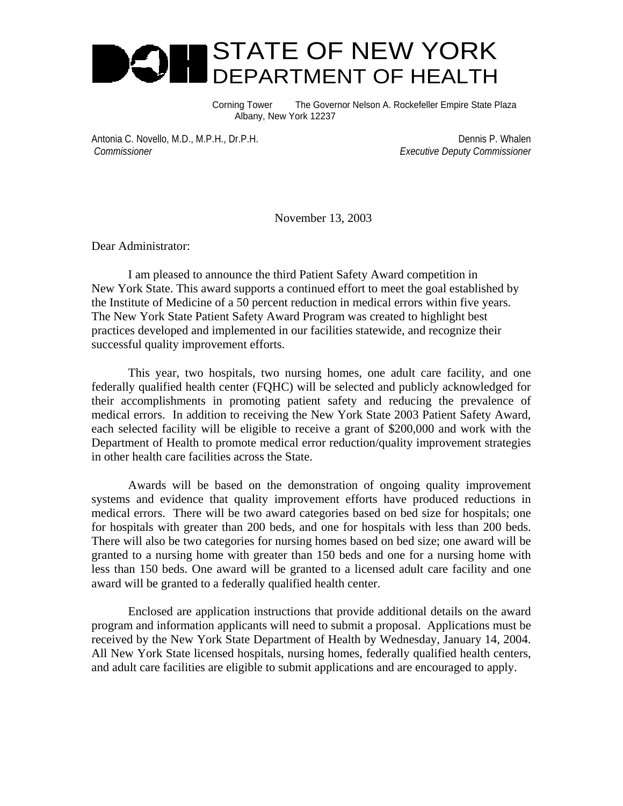

Corning Tower The Governor Nelson A. Rockefeller Empire State Plaza Albany, New York 12237

Antonia C. Novello, M.D., M.P.H., Dr.P.H. Dennis P. Whalen  *Commissioner Executive Deputy Commissioner*

November 13, 2003

Dear Administrator:

I am pleased to announce the third Patient Safety Award competition in New York State. This award supports a continued effort to meet the goal established by the Institute of Medicine of a 50 percent reduction in medical errors within five years. The New York State Patient Safety Award Program was created to highlight best practices developed and implemented in our facilities statewide, and recognize their successful quality improvement efforts.

This year, two hospitals, two nursing homes, one adult care facility, and one federally qualified health center (FQHC) will be selected and publicly acknowledged for their accomplishments in promoting patient safety and reducing the prevalence of medical errors. In addition to receiving the New York State 2003 Patient Safety Award, each selected facility will be eligible to receive a grant of \$200,000 and work with the Department of Health to promote medical error reduction/quality improvement strategies in other health care facilities across the State.

Awards will be based on the demonstration of ongoing quality improvement systems and evidence that quality improvement efforts have produced reductions in medical errors. There will be two award categories based on bed size for hospitals; one for hospitals with greater than 200 beds, and one for hospitals with less than 200 beds. There will also be two categories for nursing homes based on bed size; one award will be granted to a nursing home with greater than 150 beds and one for a nursing home with less than 150 beds. One award will be granted to a licensed adult care facility and one award will be granted to a federally qualified health center.

Enclosed are application instructions that provide additional details on the award program and information applicants will need to submit a proposal. Applications must be received by the New York State Department of Health by Wednesday, January 14, 2004. All New York State licensed hospitals, nursing homes, federally qualified health centers, and adult care facilities are eligible to submit applications and are encouraged to apply.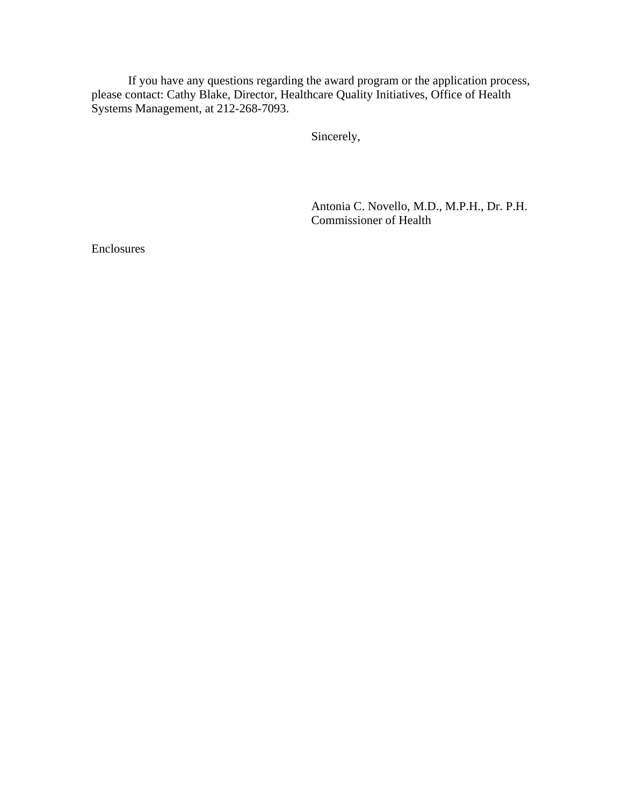If you have any questions regarding the award program or the application process, please contact: Cathy Blake, Director, Healthcare Quality Initiatives, Office of Health Systems Management, at 212-268-7093.

Sincerely,

Antonia C. Novello, M.D., M.P.H., Dr. P.H. Commissioner of Health

Enclosures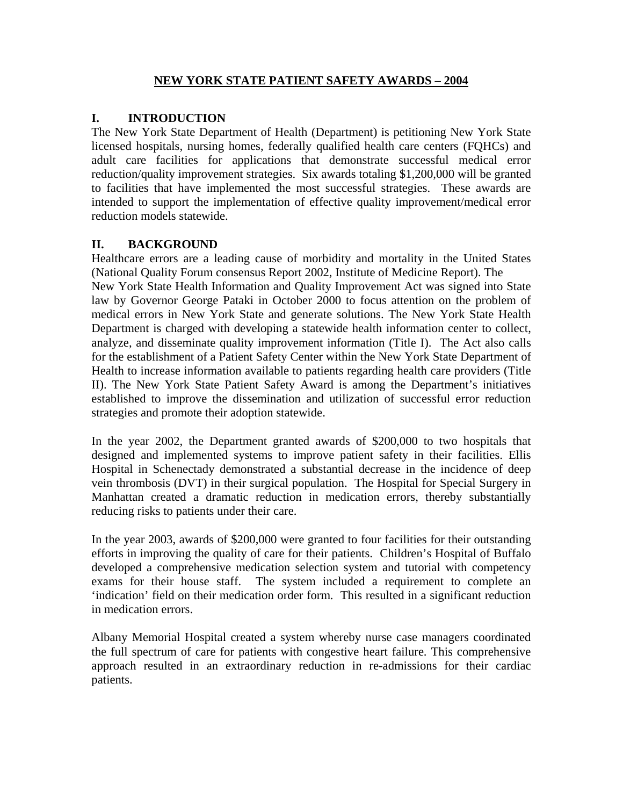#### **NEW YORK STATE PATIENT SAFETY AWARDS – 2004**

#### **I. INTRODUCTION**

intended to support the implementation of effective quality improvement/medical error reduction models statewide. The New York State Department of Health (Department) is petitioning New York State licensed hospitals, nursing homes, federally qualified health care centers (FQHCs) and adult care facilities for applications that demonstrate successful medical error reduction/quality improvement strategies. Six awards totaling \$1,200,000 will be granted to facilities that have implemented the most successful strategies. These awards are

#### **II. BACKGROUND**

Healthcare errors are a leading cause of morbidity and mortality in the United States established to improve the dissemination and utilization of successful error reduction strategies and promote their adoption statewide. (National Quality Forum consensus Report 2002, Institute of Medicine Report). The New York State Health Information and Quality Improvement Act was signed into State law by Governor George Pataki in October 2000 to focus attention on the problem of medical errors in New York State and generate solutions. The New York State Health Department is charged with developing a statewide health information center to collect, analyze, and disseminate quality improvement information (Title I). The Act also calls for the establishment of a Patient Safety Center within the New York State Department of Health to increase information available to patients regarding health care providers (Title II). The New York State Patient Safety Award is among the Department's initiatives

Manhattan created a dramatic reduction in medication errors, thereby substantially reducing risks to patients under their care. In the year 2002, the Department granted awards of \$200,000 to two hospitals that designed and implemented systems to improve patient safety in their facilities. Ellis Hospital in Schenectady demonstrated a substantial decrease in the incidence of deep vein thrombosis (DVT) in their surgical population. The Hospital for Special Surgery in

'indication' field on their medication order form. This resulted in a significant reduction in medication errors. In the year 2003, awards of \$200,000 were granted to four facilities for their outstanding efforts in improving the quality of care for their patients. Children's Hospital of Buffalo developed a comprehensive medication selection system and tutorial with competency exams for their house staff. The system included a requirement to complete an

approach resulted in an extraordinary reduction in re-admissions for their cardiac patients. Albany Memorial Hospital created a system whereby nurse case managers coordinated the full spectrum of care for patients with congestive heart failure. This comprehensive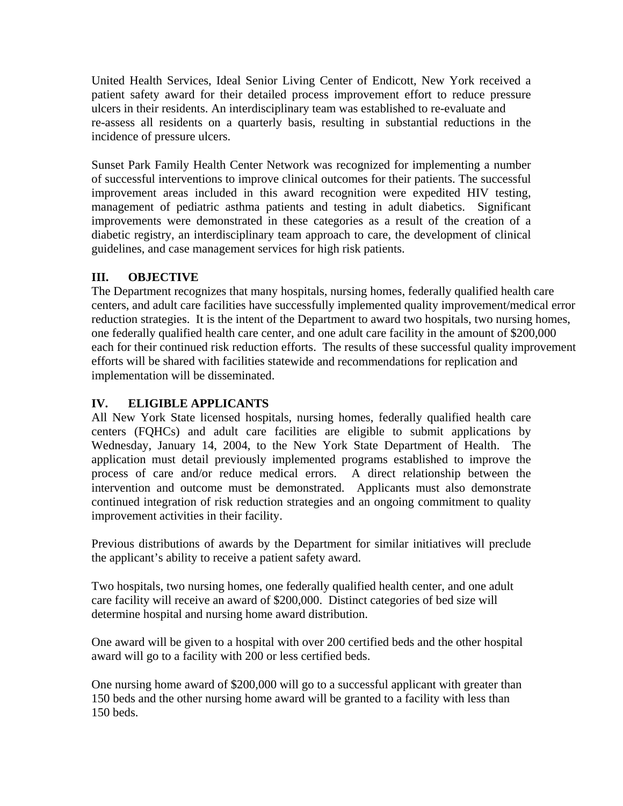United Health Services, Ideal Senior Living Center of Endicott, New York received a patient safety award for their detailed process improvement effort to reduce pressure ulcers in their residents. An interdisciplinary team was established to re-evaluate and re-assess all residents on a quarterly basis, resulting in substantial reductions in the incidence of pressure ulcers.

management of pediatric asthma patients and testing in adult diabetics. Significant improvements were demonstrated in these categories as a result of the creation of a diabetic registry, an interdisciplinary team approach to care, the development of clinical Sunset Park Family Health Center Network was recognized for implementing a number of successful interventions to improve clinical outcomes for their patients. The successful improvement areas included in this award recognition were expedited HIV testing, guidelines, and case management services for high risk patients.

### **III. OBJECTIVE**

reduction strategies. It is the intent of the Department to award two hospitals, two nursing homes, one federally qualified health care center, and one adult care facility in the amount of \$200,000 each for their continued risk reduction efforts. The results of these successful quality improvement efforts will be shared with facilities statewide and recommendations for replication and The Department recognizes that many hospitals, nursing homes, federally qualified health care centers, and adult care facilities have successfully implemented quality improvement/medical error implementation will be disseminated.

### **IV. ELIGIBLE APPLICANTS**

process of care and/or reduce medical errors. A direct relationship between the intervention and outcome must be demonstrated. Applicants must also demonstrate All New York State licensed hospitals, nursing homes, federally qualified health care centers (FQHCs) and adult care facilities are eligible to submit applications by Wednesday, January 14, 2004, to the New York State Department of Health. The application must detail previously implemented programs established to improve the continued integration of risk reduction strategies and an ongoing commitment to quality improvement activities in their facility.

Previous distributions of awards by the Department for similar initiatives will preclude the applicant's ability to receive a patient safety award.

Two hospitals, two nursing homes, one federally qualified health center, and one adult care facility will receive an award of \$200,000. Distinct categories of bed size will determine hospital and nursing home award distribution.

One award will be given to a hospital with over 200 certified beds and the other hospital award will go to a facility with 200 or less certified beds.

150 beds and the other nursing home award will be granted to a facility with less than 50 beds. 1One nursing home award of \$200,000 will go to a successful applicant with greater than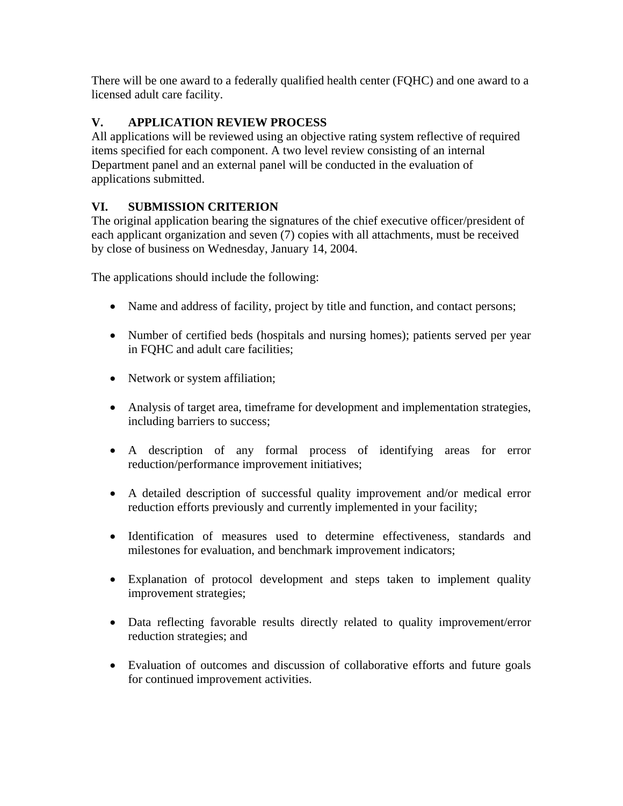There will be one award to a federally qualified health center (FQHC) and one award to a licensed adult care facility.

# **V. APPLICATION REVIEW PROCESS**

All applications will be reviewed using an objective rating system reflective of required items specified for each component. A two level review consisting of an internal Department panel and an external panel will be conducted in the evaluation of applications submitted.

## **VI. SUBMISSION CRITERION**

The original application bearing the signatures of the chief executive officer/president of each applicant organization and seven (7) copies with all attachments, must be received by close of business on Wednesday, January 14, 2004.

The applications should include the following:

- Name and address of facility, project by title and function, and contact persons;
- Number of certified beds (hospitals and nursing homes); patients served per year in FQHC and adult care facilities;
- Network or system affiliation;
- Analysis of target area, timeframe for development and implementation strategies, including barriers to success;
- A description of any formal process of identifying areas for error reduction/performance improvement initiatives;
- reduction efforts previously and currently implemented in your facility; • A detailed description of successful quality improvement and/or medical error
- milestones for evaluation, and benchmark improvement indicators; • Identification of measures used to determine effectiveness, standards and
- Explanation of protocol development and steps taken to implement quality improvement strategies;
- Data reflecting favorable results directly related to quality improvement/error reduction strategies; and
- Evaluation of outcomes and discussion of collaborative efforts and future goals for continued improvement activities.